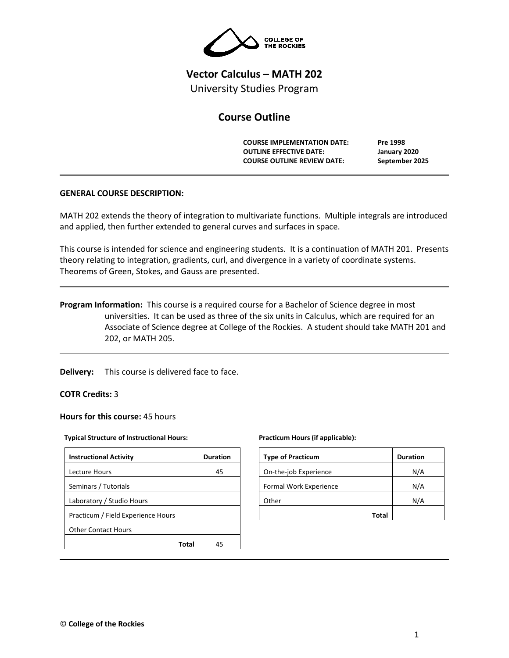

# **Vector Calculus – MATH 202** University Studies Program

# **Course Outline**

**COURSE IMPLEMENTATION DATE: Pre 1998 OUTLINE EFFECTIVE DATE: January 2020 COURSE OUTLINE REVIEW DATE: September 2025**

# **GENERAL COURSE DESCRIPTION:**

MATH 202 extends the theory of integration to multivariate functions. Multiple integrals are introduced and applied, then further extended to general curves and surfaces in space.

This course is intended for science and engineering students. It is a continuation of MATH 201. Presents theory relating to integration, gradients, curl, and divergence in a variety of coordinate systems. Theorems of Green, Stokes, and Gauss are presented.

**Program Information:** This course is a required course for a Bachelor of Science degree in most universities. It can be used as three of the six units in Calculus, which are required for an Associate of Science degree at College of the Rockies. A student should take MATH 201 and 202, or MATH 205.

**Delivery:** This course is delivered face to face.

**COTR Credits:** 3

**Hours for this course:** 45 hours

#### **Typical Structure of Instructional Hours:**

| <b>Instructional Activity</b>      | <b>Duration</b> |
|------------------------------------|-----------------|
| <b>Lecture Hours</b>               | 45              |
| Seminars / Tutorials               |                 |
| Laboratory / Studio Hours          |                 |
| Practicum / Field Experience Hours |                 |
| <b>Other Contact Hours</b>         |                 |
| Total                              | 45              |

#### **Practicum Hours (if applicable):**

| <b>Type of Practicum</b> | <b>Duration</b> |
|--------------------------|-----------------|
| On-the-job Experience    | N/A             |
| Formal Work Experience   | N/A             |
| Other                    | N/A             |
| Total                    |                 |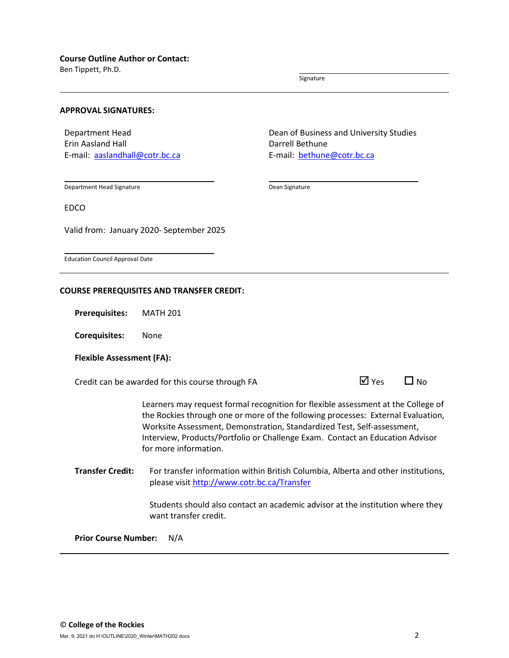Ben Tippett, Ph.D.

Signature

#### **APPROVAL SIGNATURES:**

Department Head Erin Aasland Hall E-mail: [aaslandhall@cotr.bc.ca](mailto:aaslandhall@cotr.bc.ca) Dean of Business and University Studies Darrell Bethune E-mail: [bethune@cotr.bc.ca](mailto:bethune@cotr.bc.ca)

Department Head Signature

Dean Signature

EDCO

Valid from: January 2020- September 2025

Education Council Approval Date

#### **COURSE PREREQUISITES AND TRANSFER CREDIT:**

**Prerequisites:** MATH 201

**Corequisites:** None

## **Flexible Assessment (FA):**

Credit can be awarded for this course through FA  $\Box$  Yes  $\Box$  No

Learners may request formal recognition for flexible assessment at the College of the Rockies through one or more of the following processes: External Evaluation, Worksite Assessment, Demonstration, Standardized Test, Self-assessment, Interview, Products/Portfolio or Challenge Exam. Contact an Education Advisor for more information.

**Transfer Credit:** For transfer information within British Columbia, Alberta and other institutions, please visit<http://www.cotr.bc.ca/Transfer>

> Students should also contact an academic advisor at the institution where they want transfer credit.

**Prior Course Number:** N/A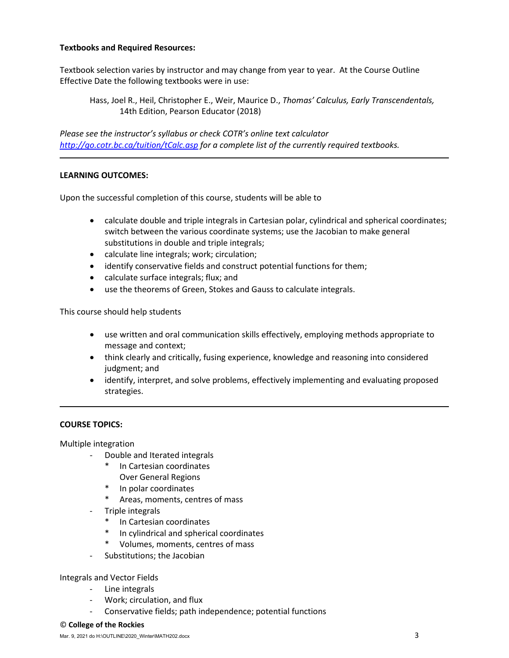# **Textbooks and Required Resources:**

Textbook selection varies by instructor and may change from year to year. At the Course Outline Effective Date the following textbooks were in use:

Hass, Joel R., Heil, Christopher E., Weir, Maurice D., *Thomas' Calculus, Early Transcendentals,*  14th Edition, Pearson Educator (2018)

*Please see the instructor's syllabus or check COTR's online text calculator <http://go.cotr.bc.ca/tuition/tCalc.asp> for a complete list of the currently required textbooks.*

# **LEARNING OUTCOMES:**

Upon the successful completion of this course, students will be able to

- calculate double and triple integrals in Cartesian polar, cylindrical and spherical coordinates; switch between the various coordinate systems; use the Jacobian to make general substitutions in double and triple integrals;
- calculate line integrals; work; circulation;
- identify conservative fields and construct potential functions for them;
- calculate surface integrals; flux; and
- use the theorems of Green, Stokes and Gauss to calculate integrals.

This course should help students

- use written and oral communication skills effectively, employing methods appropriate to message and context;
- think clearly and critically, fusing experience, knowledge and reasoning into considered judgment; and
- identify, interpret, and solve problems, effectively implementing and evaluating proposed strategies.

# **COURSE TOPICS:**

Multiple integration

- Double and Iterated integrals
	- \* In Cartesian coordinates Over General Regions
	- \* In polar coordinates
	- \* Areas, moments, centres of mass
- Triple integrals
	- \* In Cartesian coordinates
	- \* In cylindrical and spherical coordinates
	- \* Volumes, moments, centres of mass
- Substitutions; the Jacobian

## Integrals and Vector Fields

- Line integrals
- Work; circulation, and flux
- Conservative fields; path independence; potential functions

#### © **College of the Rockies**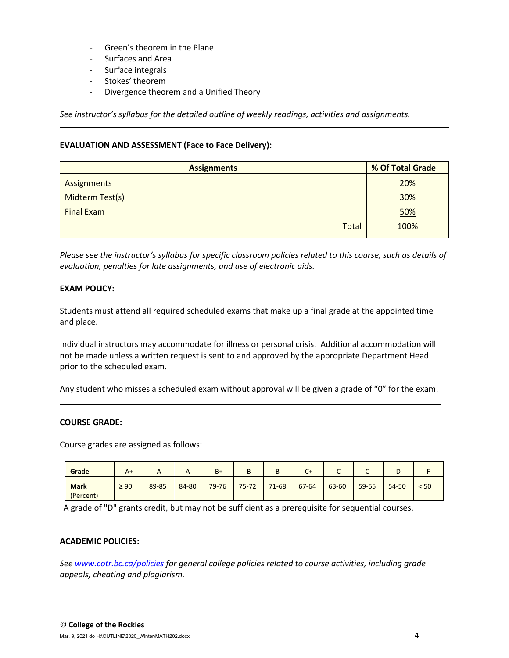- Green's theorem in the Plane
- Surfaces and Area
- Surface integrals
- Stokes' theorem
- Divergence theorem and a Unified Theory

*See instructor's syllabus for the detailed outline of weekly readings, activities and assignments.* 

## **EVALUATION AND ASSESSMENT (Face to Face Delivery):**

| <b>Assignments</b> | % Of Total Grade |  |  |
|--------------------|------------------|--|--|
| Assignments        | 20%              |  |  |
| Midterm Test(s)    | 30%              |  |  |
| <b>Final Exam</b>  | 50%              |  |  |
| <b>Total</b>       | 100%             |  |  |

*Please see the instructor's syllabus for specific classroom policies related to this course, such as details of evaluation, penalties for late assignments, and use of electronic aids.*

# **EXAM POLICY:**

Students must attend all required scheduled exams that make up a final grade at the appointed time and place.

Individual instructors may accommodate for illness or personal crisis. Additional accommodation will not be made unless a written request is sent to and approved by the appropriate Department Head prior to the scheduled exam.

Any student who misses a scheduled exam without approval will be given a grade of "0" for the exam.

## **COURSE GRADE:**

Course grades are assigned as follows:

| Grade                    | $A+$      | $\sqrt{ }$ | $A-$  | $B+$      | D<br>Þ    | $B -$     | C+        | ุ     | $\overline{\phantom{0}}$<br>-<br>$\overline{\phantom{0}}$ | ◡         |      |
|--------------------------|-----------|------------|-------|-----------|-----------|-----------|-----------|-------|-----------------------------------------------------------|-----------|------|
| <b>Mark</b><br>(Percent) | $\geq 90$ | 89-85      | 84-80 | $79 - 76$ | $75 - 72$ | $71 - 68$ | $67 - 64$ | 63-60 | 59-55                                                     | $54 - 50$ | < 50 |

A grade of "D" grants credit, but may not be sufficient as a prerequisite for sequential courses.

## **ACADEMIC POLICIES:**

*See [www.cotr.bc.ca/policies](http://www.cotr.bc.ca/policies) for general college policies related to course activities, including grade appeals, cheating and plagiarism.*